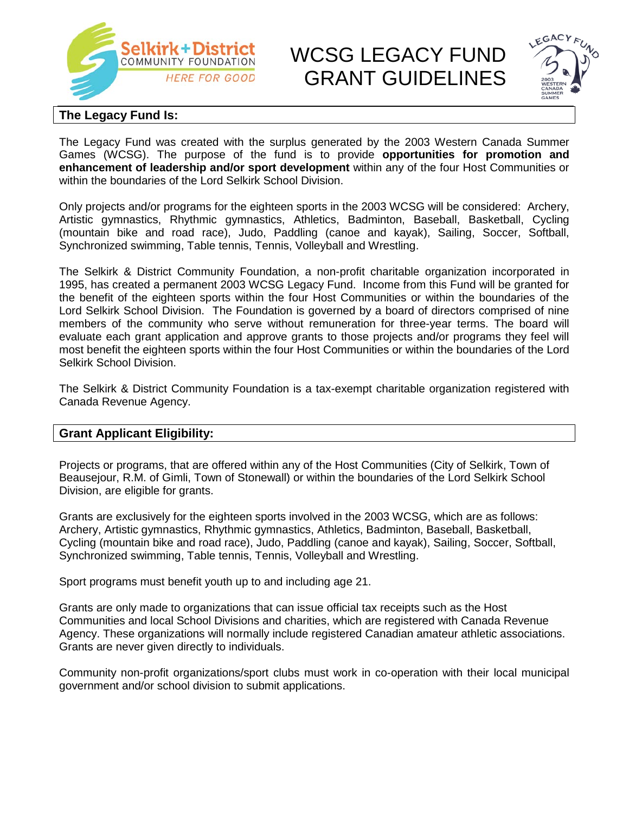

# **Selkirk+District** WCSG LEGACY FUND GRANT GUIDELINES



### **The Legacy Fund Is:**

The Legacy Fund was created with the surplus generated by the 2003 Western Canada Summer Games (WCSG). The purpose of the fund is to provide **opportunities for promotion and enhancement of leadership and/or sport development** within any of the four Host Communities or within the boundaries of the Lord Selkirk School Division.

Only projects and/or programs for the eighteen sports in the 2003 WCSG will be considered: Archery, Artistic gymnastics, Rhythmic gymnastics, Athletics, Badminton, Baseball, Basketball, Cycling (mountain bike and road race), Judo, Paddling (canoe and kayak), Sailing, Soccer, Softball, Synchronized swimming, Table tennis, Tennis, Volleyball and Wrestling.

The Selkirk & District Community Foundation, a non-profit charitable organization incorporated in 1995, has created a permanent 2003 WCSG Legacy Fund. Income from this Fund will be granted for the benefit of the eighteen sports within the four Host Communities or within the boundaries of the Lord Selkirk School Division. The Foundation is governed by a board of directors comprised of nine members of the community who serve without remuneration for three-year terms. The board will evaluate each grant application and approve grants to those projects and/or programs they feel will most benefit the eighteen sports within the four Host Communities or within the boundaries of the Lord Selkirk School Division.

The Selkirk & District Community Foundation is a tax-exempt charitable organization registered with Canada Revenue Agency.

#### **Grant Applicant Eligibility:**

Projects or programs, that are offered within any of the Host Communities (City of Selkirk, Town of Beausejour, R.M. of Gimli, Town of Stonewall) or within the boundaries of the Lord Selkirk School Division, are eligible for grants.

Grants are exclusively for the eighteen sports involved in the 2003 WCSG, which are as follows: Archery, Artistic gymnastics, Rhythmic gymnastics, Athletics, Badminton, Baseball, Basketball, Cycling (mountain bike and road race), Judo, Paddling (canoe and kayak), Sailing, Soccer, Softball, Synchronized swimming, Table tennis, Tennis, Volleyball and Wrestling.

Sport programs must benefit youth up to and including age 21.

Grants are only made to organizations that can issue official tax receipts such as the Host Communities and local School Divisions and charities, which are registered with Canada Revenue Agency. These organizations will normally include registered Canadian amateur athletic associations. Grants are never given directly to individuals.

Community non-profit organizations/sport clubs must work in co-operation with their local municipal government and/or school division to submit applications.